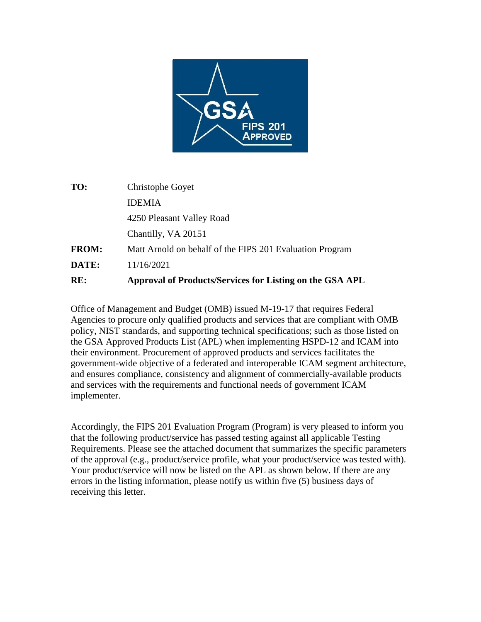

| RE:          | Approval of Products/Services for Listing on the GSA APL |  |
|--------------|----------------------------------------------------------|--|
| DATE:        | 11/16/2021                                               |  |
| <b>FROM:</b> | Matt Arnold on behalf of the FIPS 201 Evaluation Program |  |
|              | Chantilly, VA 20151                                      |  |
|              | 4250 Pleasant Valley Road                                |  |
|              | <b>IDEMIA</b>                                            |  |
| TO:          | Christophe Goyet                                         |  |
|              |                                                          |  |

Office of Management and Budget (OMB) issued M-19-17 that requires Federal Agencies to procure only qualified products and services that are compliant with OMB policy, NIST standards, and supporting technical specifications; such as those listed on the GSA Approved Products List (APL) when implementing HSPD-12 and ICAM into their environment. Procurement of approved products and services facilitates the government-wide objective of a federated and interoperable ICAM segment architecture, and ensures compliance, consistency and alignment of commercially-available products and services with the requirements and functional needs of government ICAM implementer.

Accordingly, the FIPS 201 Evaluation Program (Program) is very pleased to inform you that the following product/service has passed testing against all applicable Testing Requirements. Please see the attached document that summarizes the specific parameters of the approval (e.g., product/service profile, what your product/service was tested with). Your product/service will now be listed on the APL as shown below. If there are any errors in the listing information, please notify us within five (5) business days of receiving this letter.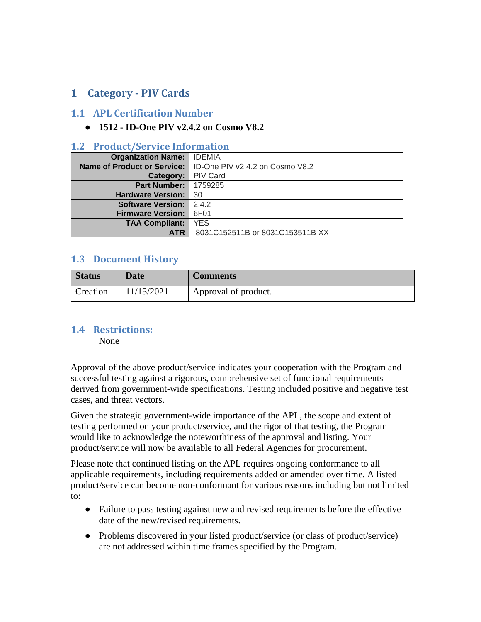# **1 Category - PIV Cards**

#### **1.1 APL Certification Number**

### ● **1512 - ID-One PIV v2.4.2 on Cosmo V8.2**

#### **1.2 Product/Service Information**

| <b>Organization Name:</b>          | <b>IDEMIA</b>                   |
|------------------------------------|---------------------------------|
| <b>Name of Product or Service:</b> | ID-One PIV v2.4.2 on Cosmo V8.2 |
| Category:                          | <b>PIV Card</b>                 |
| <b>Part Number:</b>                | 1759285                         |
| <b>Hardware Version:</b>           | -30                             |
| <b>Software Version:</b>           | 2.4.2                           |
| <b>Firmware Version:</b>           | 6F01                            |
| <b>TAA Compliant:</b>              | <b>YES</b>                      |
| <b>ATR</b>                         | 8031C152511B or 8031C153511B XX |

## **1.3 Document History**

| <b>Status</b> | <b>Date</b> | <b>Comments</b>      |
|---------------|-------------|----------------------|
| Creation      | 11/15/2021  | Approval of product. |

#### **1.4 Restrictions:**

None

Approval of the above product/service indicates your cooperation with the Program and successful testing against a rigorous, comprehensive set of functional requirements derived from government-wide specifications. Testing included positive and negative test cases, and threat vectors.

Given the strategic government-wide importance of the APL, the scope and extent of testing performed on your product/service, and the rigor of that testing, the Program would like to acknowledge the noteworthiness of the approval and listing. Your product/service will now be available to all Federal Agencies for procurement.

Please note that continued listing on the APL requires ongoing conformance to all applicable requirements, including requirements added or amended over time. A listed product/service can become non-conformant for various reasons including but not limited to:

- Failure to pass testing against new and revised requirements before the effective date of the new/revised requirements.
- Problems discovered in your listed product/service (or class of product/service) are not addressed within time frames specified by the Program.